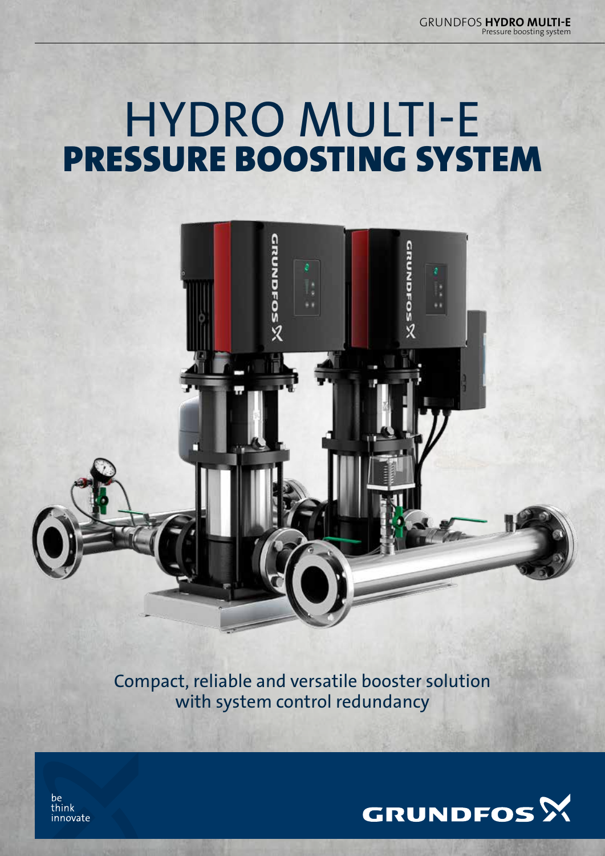Pressure boosting system GRUNDFOS HYDRO MULTI-E

## HYDRO MULTI-E PRESSURE BOOSTING SYSTEM



Compact, reliable and versatile booster solution with system control redundancy



be think innovate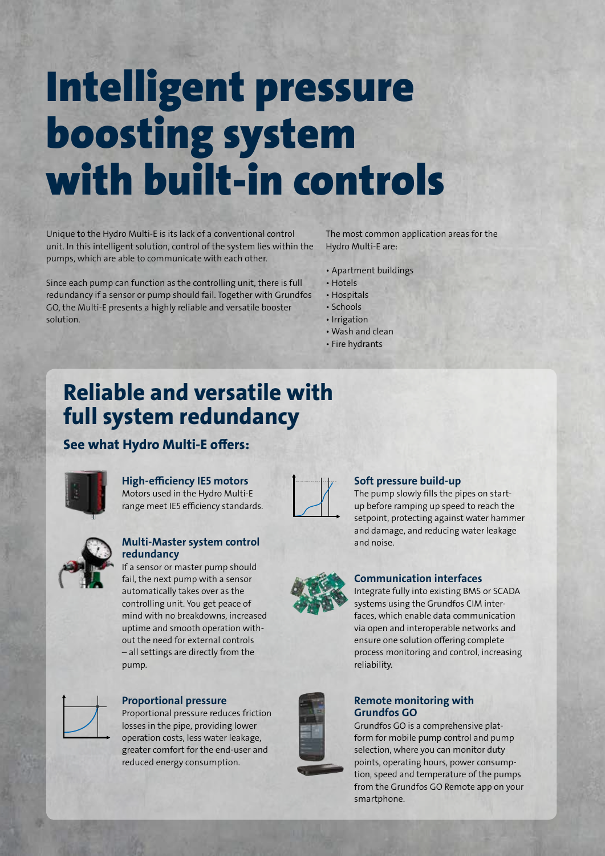# Intelligent pressure boosting system with built-in controls

Unique to the Hydro Multi-E is its lack of a conventional control unit. In this intelligent solution, control of the system lies within the pumps, which are able to communicate with each other.

Since each pump can function as the controlling unit, there is full redundancy if a sensor or pump should fail. Together with Grundfos GO, the Multi-E presents a highly reliable and versatile booster solution.

The most common application areas for the Hydro Multi-E are:

- Apartment buildings
- Hotels
- Hospitals
- Schools
- Irrigation • Wash and clean
- Fire hydrants

### Reliable and versatile with full system redundancy

### See what Hydro Multi-E offers:



#### High-efficiency IE5 motors Motors used in the Hydro Multi-E range meet IE5 efficiency standards.



#### Soft pressure build-up

The pump slowly fills the pipes on startup before ramping up speed to reach the setpoint, protecting against water hammer and damage, and reducing water leakage and noise.

Integrate fully into existing BMS or SCADA systems using the Grundfos CIM interfaces, which enable data communication via open and interoperable networks and ensure one solution offering complete process monitoring and control, increasing



#### Multi-Master system control redundancy

If a sensor or master pump should fail, the next pump with a sensor automatically takes over as the controlling unit. You get peace of mind with no breakdowns, increased uptime and smooth operation without the need for external controls – all settings are directly from the pump.



#### Proportional pressure

Proportional pressure reduces friction losses in the pipe, providing lower operation costs, less water leakage, greater comfort for the end-user and reduced energy consumption.



#### Remote monitoring with Grundfos GO

reliability.

Communication interfaces

Grundfos GO is a comprehensive platform for mobile pump control and pump selection, where you can monitor duty points, operating hours, power consumption, speed and temperature of the pumps from the Grundfos GO Remote app on your smartphone.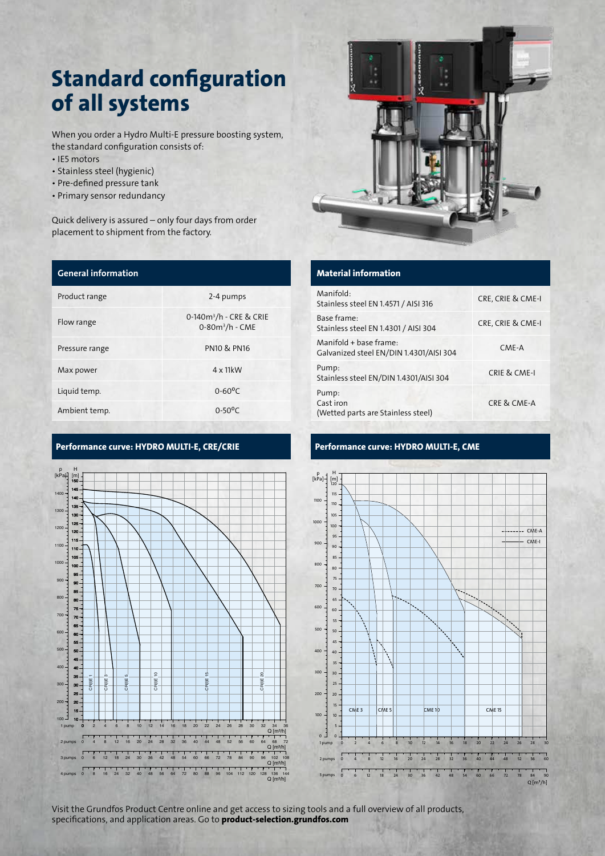## Standard configuration of all systems

When you order a Hydro Multi-E pressure boosting system, the standard configuration consists of:

- IE5 motors
- Stainless steel (hygienic)
- Pre-defined pressure tank
- Primary sensor redundancy

Quick delivery is assured – only four days from order placement to shipment from the factory.

| <b>General information</b> |                                                            |
|----------------------------|------------------------------------------------------------|
| Product range              | 2-4 pumps                                                  |
| Flow range                 | 0-140m <sup>3</sup> /h - CRE & CRIE<br>$0 - 80m^3/h - CME$ |
| Pressure range             | <b>PN10 &amp; PN16</b>                                     |
| Max power                  | $4 \times 11$ kW                                           |
| Liquid temp.               | $0 - 60^{\circ}C$                                          |
| Ambient temp.              | $0 - 50$ <sup>o</sup> C                                    |

#### Performance curve: HYDRO MULTI-E, CRE/CRIE Performance curve: HYDRO MULTI-E, CME





#### Material information

| Manifold:<br>Stainless steel EN 1.4571 / AISI 316                 | CRE, CRIE & CME-I |
|-------------------------------------------------------------------|-------------------|
| Base frame:<br>Stainless steel EN 1.4301 / AISI 304               | CRE, CRIE & CME-I |
| Manifold + base frame:<br>Galvanized steel EN/DIN 1.4301/AISI 304 | CME-A             |
| Pump:<br>Stainless steel EN/DIN 1.4301/AISI 304                   | CRIE & CME-I      |
| Pump:<br>Cast iron<br>(Wetted parts are Stainless steel)          | CRE & CME-A       |



Visit the Grundfos Product Centre online and get access to sizing tools and a full overview of all products, specifications, and application areas. Go to product-selection.grundfos.com